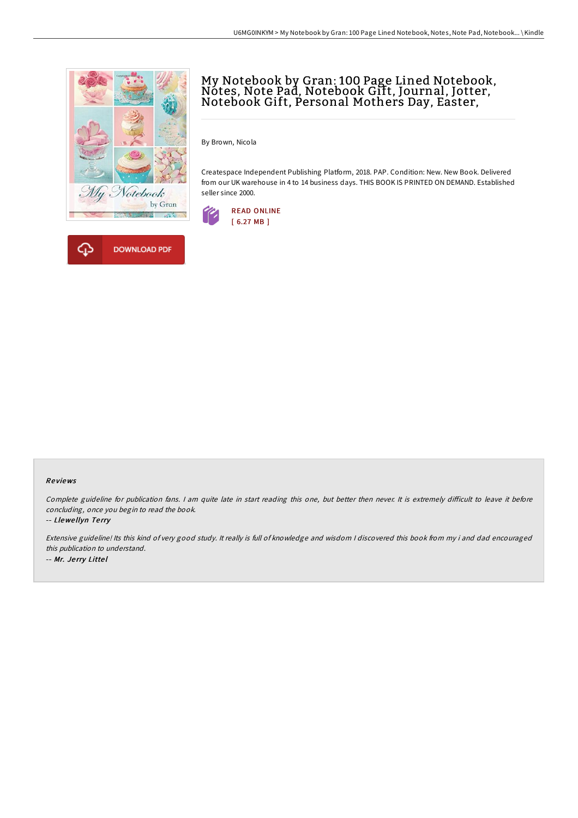



# My Notebook by Gran: <sup>100</sup> Page Lined Notebook, Notes, Note Pad, Notebook Gift, Journal, Jotter, Notebook Gift, Personal Mothers Day, Easter,

By Brown, Nicola

Createspace Independent Publishing Platform, 2018. PAP. Condition: New. New Book. Delivered from our UK warehouse in 4 to 14 business days. THIS BOOK IS PRINTED ON DEMAND. Established seller since 2000.



### Re views

Complete guideline for publication fans. I am quite late in start reading this one, but better then never. It is extremely difficult to leave it before concluding, once you begin to read the book.

-- Llewe llyn Te rry

Extensive guideline! Its this kind of very good study. It really is full of knowledge and wisdom <sup>I</sup> discovered this book from my i and dad encouraged this publication to understand. -- Mr. Je rry Litte l